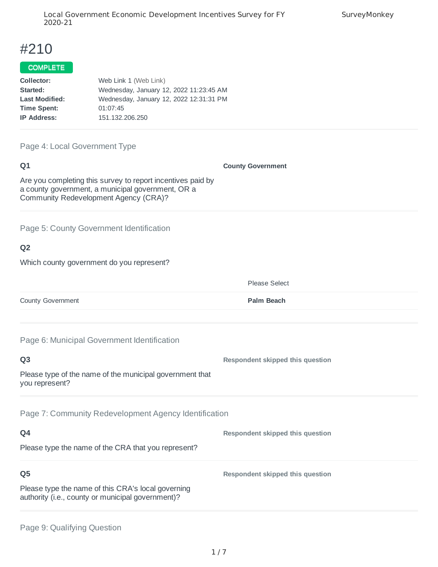# #210

# COMPLETE

| Web Link 1 (Web Link)                   |
|-----------------------------------------|
| Wednesday, January 12, 2022 11:23:45 AM |
| Wednesday, January 12, 2022 12:31:31 PM |
| 01:07:45                                |
| 151, 132, 206, 250                      |
|                                         |

#### Page 4: Local Government Type

#### **Q1**

**County Government**

Please Select

Are you completing this survey to report incentives paid by a county government, a municipal government, OR a Community Redevelopment Agency (CRA)?

Page 5: County Government Identification

## **Q2**

Which county government do you represent?

**County Government Palm Beach** 

Page 6: Municipal Government Identification

| Q <sub>3</sub>                                                                                          | Respondent skipped this question |
|---------------------------------------------------------------------------------------------------------|----------------------------------|
| Please type of the name of the municipal government that<br>you represent?                              |                                  |
| Page 7: Community Redevelopment Agency Identification                                                   |                                  |
| Q4                                                                                                      | Respondent skipped this question |
| Please type the name of the CRA that you represent?                                                     |                                  |
| Q <sub>5</sub>                                                                                          | Respondent skipped this question |
| Please type the name of this CRA's local governing<br>authority (i.e., county or municipal government)? |                                  |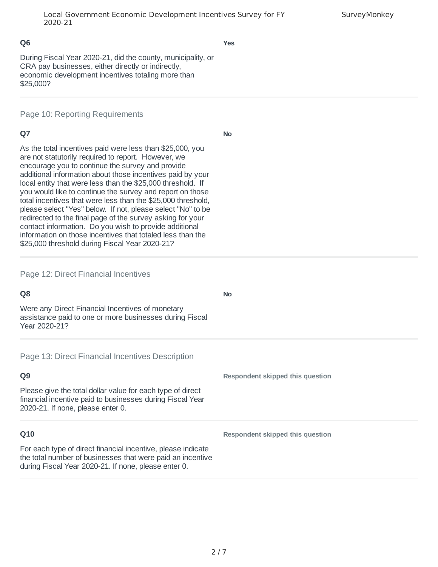**Yes**

During Fiscal Year 2020-21, did the county, municipality, or CRA pay businesses, either directly or indirectly, economic development incentives totaling more than \$25,000?

Page 10: Reporting Requirements

## **Q7**

**No**

As the total incentives paid were less than \$25,000, you are not statutorily required to report. However, we encourage you to continue the survey and provide additional information about those incentives paid by your local entity that were less than the \$25,000 threshold. If you would like to continue the survey and report on those total incentives that were less than the \$25,000 threshold, please select "Yes" below. If not, please select "No" to be redirected to the final page of the survey asking for your contact information. Do you wish to provide additional information on those incentives that totaled less than the \$25,000 threshold during Fiscal Year 2020-21?

### Page 12: Direct Financial Incentives

| Q <sub>8</sub>                                                                                                                                                                     | <b>No</b>                        |
|------------------------------------------------------------------------------------------------------------------------------------------------------------------------------------|----------------------------------|
| Were any Direct Financial Incentives of monetary<br>assistance paid to one or more businesses during Fiscal<br>Year 2020-21?                                                       |                                  |
| Page 13: Direct Financial Incentives Description                                                                                                                                   |                                  |
| Q <sub>9</sub>                                                                                                                                                                     | Respondent skipped this question |
| Please give the total dollar value for each type of direct<br>financial incentive paid to businesses during Fiscal Year<br>2020-21. If none, please enter 0.                       |                                  |
| Q10                                                                                                                                                                                | Respondent skipped this question |
| For each type of direct financial incentive, please indicate<br>the total number of businesses that were paid an incentive<br>during Fiscal Year 2020-21. If none, please enter 0. |                                  |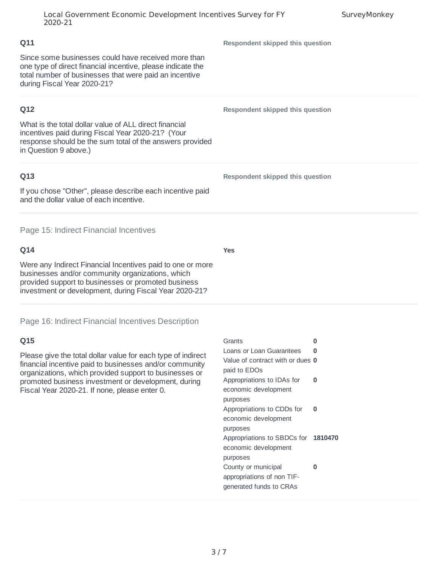Since some businesses could have received more than one type of direct financial incentive, please indicate the total number of businesses that were paid an incentive during Fiscal Year 2020-21?

## **Q12**

What is the total dollar value of ALL direct financial incentives paid during Fiscal Year 2020-21? (Your response should be the sum total of the answers provided in Question 9 above.)

## **Q13**

If you chose "Other", please describe each incentive paid and the dollar value of each incentive.

Page 15: Indirect Financial Incentives

## **Q14**

Were any Indirect Financial Incentives paid to one or more businesses and/or community organizations, which provided support to businesses or promoted business investment or development, during Fiscal Year 2020-21?

Page 16: Indirect Financial Incentives Description

## **Q15**

Please give the total dollar value for each type of indirect financial incentive paid to businesses and/or community organizations, which provided support to businesses or promoted business investment or development, during Fiscal Year 2020-21. If none, please enter 0.

| Grants                              | ሰ |
|-------------------------------------|---|
| Loans or Loan Guarantees            | 0 |
| Value of contract with or dues 0    |   |
| paid to EDOs                        |   |
| Appropriations to IDAs for          | ŋ |
| economic development                |   |
| purposes                            |   |
| Appropriations to CDDs for          | ŋ |
| economic development                |   |
| purposes                            |   |
| Appropriations to SBDCs for 1810470 |   |
| economic development                |   |
| purposes                            |   |
| County or municipal                 | ሰ |
| appropriations of non TIF-          |   |
| generated funds to CRAs             |   |

**Respondent skipped this question**

**Respondent skipped this question**

**Respondent skipped this question**

**Yes**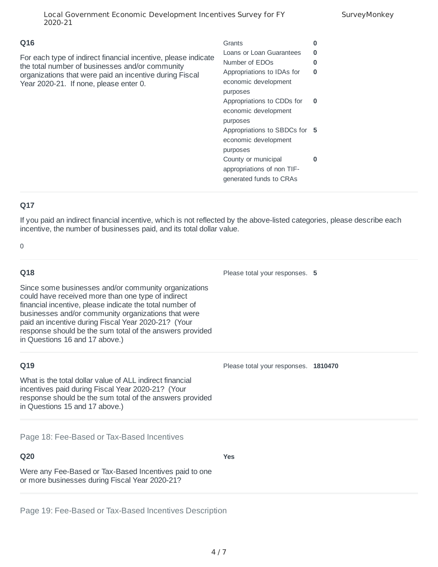| Local Government Economic Development Incentives Survey for FY<br>2020-21                                                                                                                                                     | SurveyMonkey                                                                                                                                                                                                                                                                                                                                              |                                                                          |
|-------------------------------------------------------------------------------------------------------------------------------------------------------------------------------------------------------------------------------|-----------------------------------------------------------------------------------------------------------------------------------------------------------------------------------------------------------------------------------------------------------------------------------------------------------------------------------------------------------|--------------------------------------------------------------------------|
| Q16<br>For each type of indirect financial incentive, please indicate<br>the total number of businesses and/or community<br>organizations that were paid an incentive during Fiscal<br>Year 2020-21. If none, please enter 0. | Grants<br>Loans or Loan Guarantees<br>Number of EDO <sub>S</sub><br>Appropriations to IDAs for<br>economic development<br>purposes<br>Appropriations to CDDs for<br>economic development<br>purposes<br>Appropriations to SBDCs for 5<br>economic development<br>purposes<br>County or municipal<br>appropriations of non TIF-<br>generated funds to CRAs | $\bf{0}$<br>$\bf{0}$<br>$\Omega$<br>$\mathbf{0}$<br>$\bf{0}$<br>$\bf{0}$ |
|                                                                                                                                                                                                                               |                                                                                                                                                                                                                                                                                                                                                           |                                                                          |

If you paid an indirect financial incentive, which is not reflected by the above-listed categories, please describe each incentive, the number of businesses paid, and its total dollar value.

 $\Omega$ 

# **Q18** Since some businesses and/or community organizations could have received more than one type of indirect financial incentive, please indicate the total number of businesses and/or community organizations that were paid an incentive during Fiscal Year 2020-21? (Your response should be the sum total of the answers provided in Questions 16 and 17 above.) Please total your responses. **5 Q19** What is the total dollar value of ALL indirect financial incentives paid during Fiscal Year 2020-21? (Your response should be the sum total of the answers provided in Questions 15 and 17 above.) Please total your responses. **1810470 Q20** Were any Fee-Based or Tax-Based Incentives paid to one or more businesses during Fiscal Year 2020-21? **Yes** Page 18: Fee-Based or Tax-Based Incentives

Page 19: Fee-Based or Tax-Based Incentives Description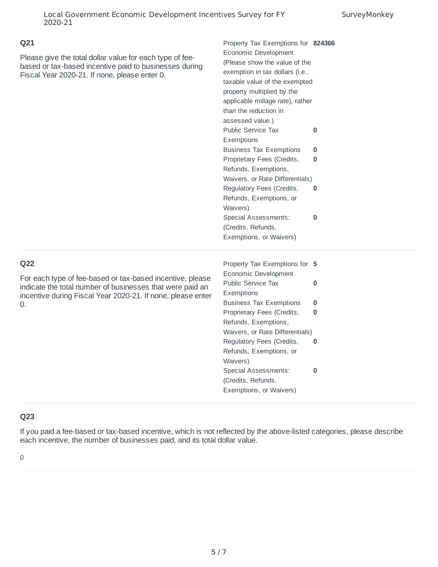Please give the total dollar value for each type of feebased or tax-based incentive paid to businesses during Fiscal Year 2020-21. If none, please enter 0.

| Economic Development<br>(Please show the value of the<br>exemption in tax dollars (i.e.,<br>taxable value of the exempted<br>property multiplied by the<br>applicable millage rate), rather<br>than the reduction in<br><b>Public Service Tax</b><br>0 |
|--------------------------------------------------------------------------------------------------------------------------------------------------------------------------------------------------------------------------------------------------------|
|                                                                                                                                                                                                                                                        |
|                                                                                                                                                                                                                                                        |
|                                                                                                                                                                                                                                                        |
|                                                                                                                                                                                                                                                        |
|                                                                                                                                                                                                                                                        |
|                                                                                                                                                                                                                                                        |
|                                                                                                                                                                                                                                                        |
|                                                                                                                                                                                                                                                        |
|                                                                                                                                                                                                                                                        |
|                                                                                                                                                                                                                                                        |
| <b>Business Tax Exemptions</b><br>0                                                                                                                                                                                                                    |
| Proprietary Fees (Credits,<br>0                                                                                                                                                                                                                        |
| Refunds, Exemptions,                                                                                                                                                                                                                                   |
| Waivers, or Rate Differentials)                                                                                                                                                                                                                        |
| Regulatory Fees (Credits,<br>0                                                                                                                                                                                                                         |
| Refunds, Exemptions, or                                                                                                                                                                                                                                |
|                                                                                                                                                                                                                                                        |
| <b>Special Assessments:</b><br>0                                                                                                                                                                                                                       |
| (Credits, Refunds,                                                                                                                                                                                                                                     |
| Exemptions, or Waivers)                                                                                                                                                                                                                                |
|                                                                                                                                                                                                                                                        |
| Property Tax Exemptions for<br>5                                                                                                                                                                                                                       |
| Economic Development                                                                                                                                                                                                                                   |
| <b>Public Service Tax</b><br>0                                                                                                                                                                                                                         |
|                                                                                                                                                                                                                                                        |
|                                                                                                                                                                                                                                                        |
| 0                                                                                                                                                                                                                                                      |
| <b>Business Tax Exemptions</b><br>Proprietary Fees (Credits,<br>0                                                                                                                                                                                      |
|                                                                                                                                                                                                                                                        |

Waivers, or Rate Differentials)

**0**

**0**

Regulatory Fees (Credits, Refunds, Exemptions, or

Special Assessments: (Credits, Refunds, Exemptions, or Waivers)

Waivers)

### **Q22**

For each type of fee-based or tax-based incentive, please indicate the total number of businesses that were paid an incentive during Fiscal Year 2020-21. If none, please enter 0.

## **Q23**

If you paid a fee-based or tax-based incentive, which is not reflected by the above-listed categories, please describe each incentive, the number of businesses paid, and its total dollar value.

0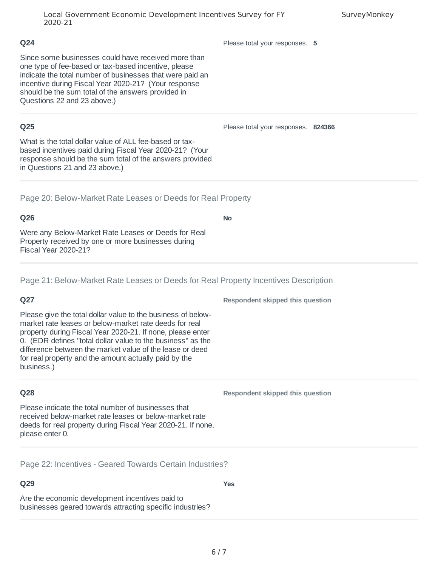#### Local Government Economic Development Incentives Survey for FY 2020-21

Please total your responses. **5**

Since some businesses could have received more than one type of fee-based or tax-based incentive, please indicate the total number of businesses that were paid an incentive during Fiscal Year 2020-21? (Your response should be the sum total of the answers provided in Questions 22 and 23 above.)

### **Q25**

**Q24**

What is the total dollar value of ALL fee-based or taxbased incentives paid during Fiscal Year 2020-21? (Your response should be the sum total of the answers provided in Questions 21 and 23 above.)

Page 20: Below-Market Rate Leases or Deeds for Real Property

## **Q26**

Were any Below-Market Rate Leases or Deeds for Real Property received by one or more businesses during Fiscal Year 2020-21?

Page 21: Below-Market Rate Leases or Deeds for Real Property Incentives Description

# **Q27**

Please give the total dollar value to the business of belowmarket rate leases or below-market rate deeds for real property during Fiscal Year 2020-21. If none, please enter 0. (EDR defines "total dollar value to the business" as the difference between the market value of the lease or deed for real property and the amount actually paid by the business.)

## **Q28**

Please indicate the total number of businesses that received below-market rate leases or below-market rate deeds for real property during Fiscal Year 2020-21. If none, please enter 0.

Page 22: Incentives - Geared Towards Certain Industries?

# **Q29**

Are the economic development incentives paid to businesses geared towards attracting specific industries? **Respondent skipped this question**

**Respondent skipped this question**

**SurveyMonkey** 

**No**

Please total your responses. **824366**

**Yes**